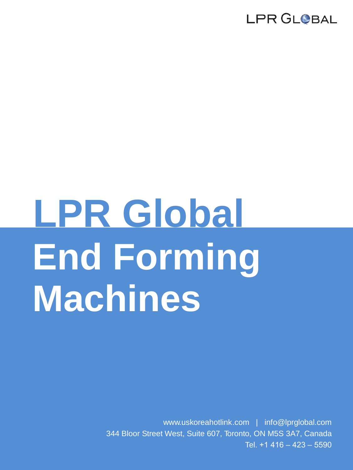# **End Forming Machines LPR Global**

www.uskoreahotlink.com | info@lprglobal.com 344 Bloor Street West, Suite 607, Toronto, ON M5S 3A7, Canada Tel. +1 416 – 423 – 5590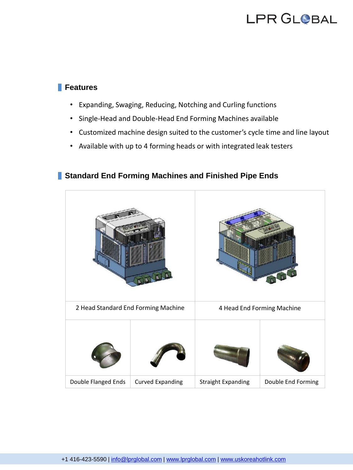#### **Features**

- Expanding, Swaging, Reducing, Notching and Curling functions
- Single-Head and Double-Head End Forming Machines available
- Customized machine design suited to the customer's cycle time and line layout
- Available with up to 4 forming heads or with integrated leak testers

#### **Standard End Forming Machines and Finished Pipe Ends**

| 2 Head Standard End Forming Machine |                         | 4 Head End Forming Machine |                    |
|-------------------------------------|-------------------------|----------------------------|--------------------|
|                                     |                         |                            |                    |
| Double Flanged Ends                 | <b>Curved Expanding</b> | <b>Straight Expanding</b>  | Double End Forming |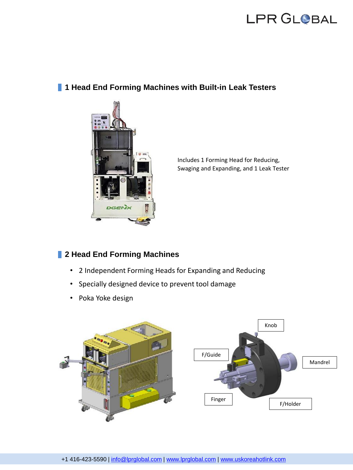#### **1 Head End Forming Machines with Built-in Leak Testers**



Includes 1 Forming Head for Reducing, Swaging and Expanding, and 1 Leak Tester

#### **2 Head End Forming Machines**

- 2 Independent Forming Heads for Expanding and Reducing
- Specially designed device to prevent tool damage
- Poka Yoke design

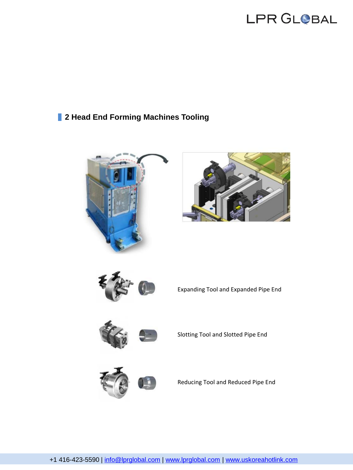#### **2 Head End Forming Machines Tooling**







Expanding Tool and Expanded Pipe End



Slotting Tool and Slotted Pipe End



Reducing Tool and Reduced Pipe End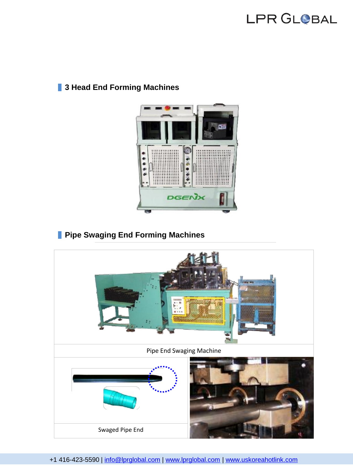#### **3 Head End Forming Machines**



### **Pipe Swaging End Forming Machines**



+1 416-423-5590 | [info@lprglobal.com](mailto:info@lprglobal.com) | [www.lprglobal.com](http://www.lprglobal.com/) | [www.uskoreahotlink.com](http://www.uskoreahotlink.com/)